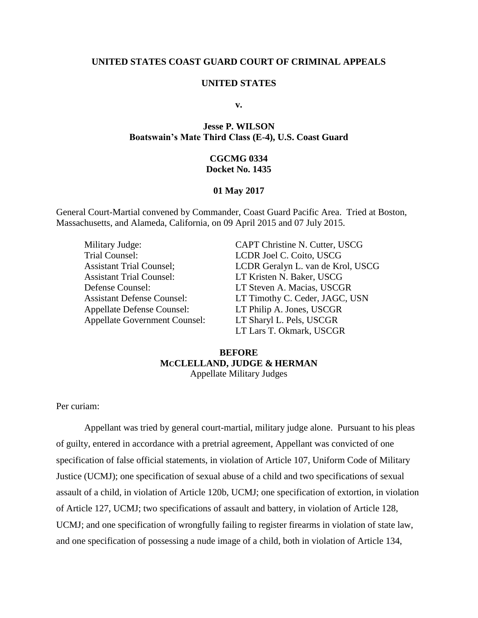#### **UNITED STATES COAST GUARD COURT OF CRIMINAL APPEALS**

#### **UNITED STATES**

**v.**

# **Jesse P. WILSON Boatswain's Mate Third Class (E-4), U.S. Coast Guard**

## **CGCMG 0334 Docket No. 1435**

#### **01 May 2017**

General Court-Martial convened by Commander, Coast Guard Pacific Area. Tried at Boston, Massachusetts, and Alameda, California, on 09 April 2015 and 07 July 2015.

Trial Counsel: LCDR Joel C. Coito, USCG Assistant Trial Counsel: LT Kristen N. Baker, USCG Defense Counsel: LT Steven A. Macias, USCGR Appellate Defense Counsel: LT Philip A. Jones, USCGR Appellate Government Counsel: LT Sharyl L. Pels, USCGR

Military Judge: CAPT Christine N. Cutter, USCG Assistant Trial Counsel; LCDR Geralyn L. van de Krol, USCG Assistant Defense Counsel: LT Timothy C. Ceder, JAGC, USN LT Lars T. Okmark, USCGR

### **BEFORE MCCLELLAND, JUDGE & HERMAN** Appellate Military Judges

Per curiam:

Appellant was tried by general court-martial, military judge alone. Pursuant to his pleas of guilty, entered in accordance with a pretrial agreement, Appellant was convicted of one specification of false official statements, in violation of Article 107, Uniform Code of Military Justice (UCMJ); one specification of sexual abuse of a child and two specifications of sexual assault of a child, in violation of Article 120b, UCMJ; one specification of extortion, in violation of Article 127, UCMJ; two specifications of assault and battery, in violation of Article 128, UCMJ; and one specification of wrongfully failing to register firearms in violation of state law, and one specification of possessing a nude image of a child, both in violation of Article 134,